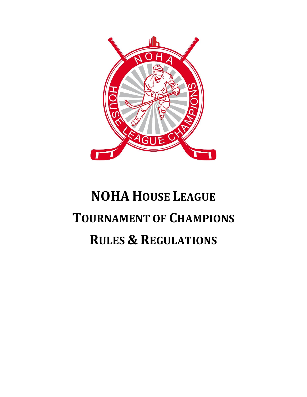

# **NOHA HOUSE LEAGUE TOURNAMENT OF CHAMPIONS RULES & REGULATIONS**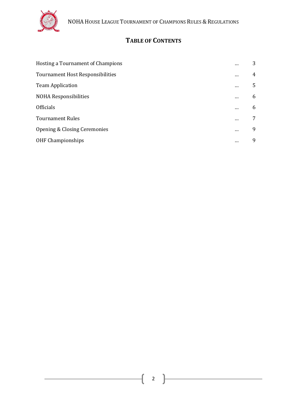

## **TABLE OF CONTENTS**

| Hosting a Tournament of Champions |          | 3              |
|-----------------------------------|----------|----------------|
| Tournament Host Responsibilities  |          | $\overline{4}$ |
| <b>Team Application</b>           |          | 5              |
| <b>NOHA Responsibilities</b>      | $\cdots$ | 6              |
| <b>Officials</b>                  |          | 6              |
| <b>Tournament Rules</b>           |          | 7              |
| Opening & Closing Ceremonies      |          | 9              |
| OHF Championships                 |          | 9              |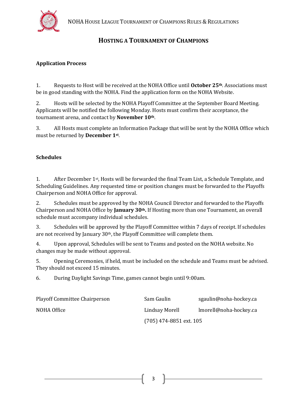

## **HOSTING A TOURNAMENT OF CHAMPIONS**

#### **Application Process**

1. Requests to Host will be received at the NOHA Office until **October 25th**. Associations must be in good standing with the NOHA. Find the application form on the NOHA Website.

2. Hosts will be selected by the NOHA Playoff Committee at the September Board Meeting. Applicants will be notified the following Monday. Hosts must confirm their acceptance, the tournament arena, and contact by **November 10th**.

3. All Hosts must complete an Information Package that will be sent by the NOHA Office which must be returned by **December 1st** .

#### **Schedules**

1. After December 1st, Hosts will be forwarded the final Team List, a Schedule Template, and Scheduling Guidelines. Any requested time or position changes must be forwarded to the Playoffs Chairperson and NOHA Office for approval.

2. Schedules must be approved by the NOHA Council Director and forwarded to the Playoffs Chairperson and NOHA Office by **January 30th.** If Hosting more than one Tournament, an overall schedule must accompany individual schedules.

3. Schedules will be approved by the Playoff Committee within 7 days of receipt. If schedules are not received by January 30th, the Playoff Committee will complete them.

4. Upon approval, Schedules will be sent to Teams and posted on the NOHA website. No changes may be made without approval.

5. Opening Ceremonies, if held, must be included on the schedule and Teams must be advised. They should not exceed 15 minutes.

6. During Daylight Savings Time, games cannot begin until 9:00am.

| <b>Playoff Committee Chairperson</b> | Sam Gaulin                | sgaulin@noha-hockey.ca |
|--------------------------------------|---------------------------|------------------------|
| NOHA Office                          | Lindsay Morell            | lmorell@noha-hockey.ca |
|                                      | $(705)$ 474-8851 ext. 105 |                        |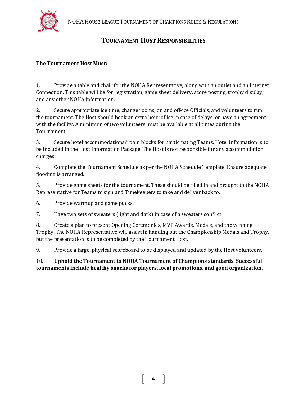

## **TOURNAMENT HOST RESPONSIBILITIES**

#### **The Tournament Host Must:**

1. Provide a table and chair for the NOHA Representative, along with an outlet and an Internet Connection. This table will be for registration, game sheet delivery, score posting, trophy display, and any other NOHA information.

2. Secure appropriate ice time, change rooms, on and off-ice Officials, and volunteers to run the tournament. The Host should book an extra hour of ice in case of delays, or have an agreement with the facility. A minimum of two volunteers must be available at all times during the Tournament.

3. Secure hotel accommodations/room blocks for participating Teams. Hotel information is to be included in the Host Information Package. The Host is not responsible for any accommodation charges.

4. Complete the Tournament Schedule as per the NOHA Schedule Template. Ensure adequate flooding is arranged.

5. Provide game sheets for the tournament. These should be filled in and brought to the NOHA Representative for Teams to sign and Timekeepers to take and deliver back to.

6. Provide warmup and game pucks.

7. Have two sets of sweaters (light and dark) in case of a sweaters conflict.

8. Create a plan to present Opening Ceremonies, MVP Awards, Medals, and the winning Trophy. The NOHA Representative will assist in handing out the Championship Medals and Trophy, but the presentation is to be completed by the Tournament Host.

9. Provide a large, physical scoreboard to be displayed and updated by the Host volunteers.

10. **Uphold the Tournament to NOHA Tournament of Champions standards. Successful tournaments include healthy snacks for players, local promotions, and good organization.**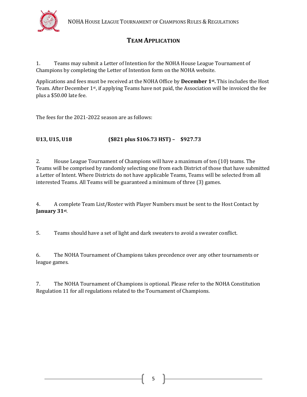

## **TEAM APPLICATION**

1. Teams may submit a Letter of Intention for the NOHA House League Tournament of Champions by completing the Letter of Intention form on the NOHA website.

Applications and fees must be received at the NOHA Office by **December 1st .** This includes the Host Team. After December 1st, if applying Teams have not paid, the Association will be invoiced the fee plus a \$50.00 late fee.

The fees for the 2021-2022 season are as follows:

#### **U13, U15, U18 (\$821 plus \$106.73 HST) – \$927.73**

2. House League Tournament of Champions will have a maximum of ten (10) teams. The Teams will be comprised by randomly selecting one from each District of those that have submitted a Letter of Intent. Where Districts do not have applicable Teams, Teams will be selected from all interested Teams. All Teams will be guaranteed a minimum of three (3) games.

4. A complete Team List/Roster with Player Numbers must be sent to the Host Contact by **January 31st** .

5. Teams should have a set of light and dark sweaters to avoid a sweater conflict.

6. The NOHA Tournament of Champions takes precedence over any other tournaments or league games.

7. The NOHA Tournament of Champions is optional. Please refer to the NOHA Constitution Regulation 11 for all regulations related to the Tournament of Champions.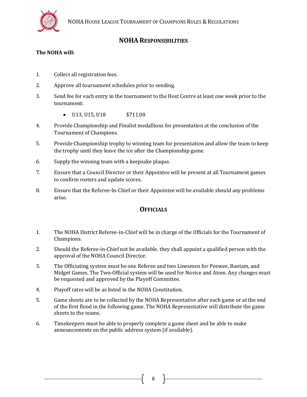

#### **NOHA RESPONSIBILITIES**

#### **The NOHA will:**

- 1. Collect all registration fees.
- 2. Approve all tournament schedules prior to sending.
- 3. Send fee for each entry in the tournament to the Host Centre at least one week prior to the tournament:
	- U13, U15, U18 \$711.00
- 4. Provide Championship and Finalist medallions for presentation at the conclusion of the Tournament of Champions.
- 5. Provide Championship trophy to winning team for presentation and allow the team to keep the trophy until they leave the ice after the Championship game.
- 6. Supply the winning team with a keepsake plaque.
- 7. Ensure that a Council Director or their Appointee will be present at all Tournament games to confirm rosters and update scores.
- 8. Ensure that the Referee-In-Chief or their Appointee will be available should any problems arise.

#### **OFFICIALS**

- 1. The NOHA District Referee-in-Chief will be in charge of the Officials for the Tournament of Champions.
- 2. Should the Referee-in-Chief not be available, they shall appoint a qualified person with the approval of the NOHA Council Director.
- 3. The Officiating system must be one Referee and two Linesmen for Peewee, Bantam, and Midget Games. The Two-Official system will be used for Novice and Atom. Any changes must be requested and approved by the Playoff Committee.
- 4. Playoff rates will be as listed in the NOHA Constitution.
- 5. Game sheets are to be collected by the NOHA Representative after each game or at the end of the first flood in the following game. The NOHA Representative will distribute the game sheets to the teams.
- 6. Timekeepers must be able to properly complete a game sheet and be able to make announcements on the public address system (if available).

6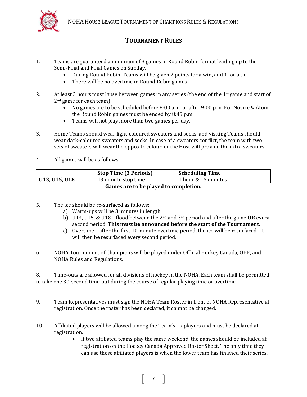

## **TOURNAMENT RULES**

- 1. Teams are guaranteed a minimum of 3 games in Round Robin format leading up to the Semi-Final and Final Games on Sunday.
	- During Round Robin, Teams will be given 2 points for a win, and 1 for a tie.
	- There will be no overtime in Round Robin games.
- 2. At least 3 hours must lapse between games in any series (the end of the  $1<sup>st</sup>$  game and start of 2<sup>nd</sup> game for each team).
	- No games are to be scheduled before 8:00 a.m. or after 9:00 p.m. For Novice & Atom the Round Robin games must be ended by 8:45 p.m.
	- Teams will not play more than two games per day.
- 3. Home Teams should wear light-coloured sweaters and socks, and visiting Teams should wear dark-coloured sweaters and socks. In case of a sweaters conflict, the team with two sets of sweaters will wear the opposite colour, or the Host will provide the extra sweaters.
- 4. All games will be as follows:

|                 | <b>Stop Time (3 Periods)</b> | <b>Scheduling Time</b> |
|-----------------|------------------------------|------------------------|
| ' U13, U15, U18 | 13 minute stop time          | 1 hour & 15 minutes    |
|                 |                              |                        |

**Games are to be played to completion.**

- 5. The ice should be re-surfaced as follows:
	- a) Warm-ups will be 3 minutes in length
	- b) U13, U15, & U18 flood between the 2nd and 3rd period and after the game **OR** every second period. **This must be announced before the start of the Tournament.**
	- c) Overtime after the first 10-minute overtime period, the ice will be resurfaced. It will then be resurfaced every second period.
- 6. NOHA Tournament of Champions will be played under Official Hockey Canada, OHF, and NOHA Rules and Regulations.

8. Time-outs are allowed for all divisions of hockey in the NOHA. Each team shall be permitted to take one 30-second time-out during the course of regular playing time or overtime.

9. Team Representatives must sign the NOHA Team Roster in front of NOHA Representative at registration. Once the roster has been declared, it cannot be changed.

7

- 10. Affiliated players will be allowed among the Team's 19 players and must be declared at registration.
	- If two affiliated teams play the same weekend, the names should be included at registration on the Hockey Canada Approved Roster Sheet. The only time they can use these affiliated players is when the lower team has finished their series.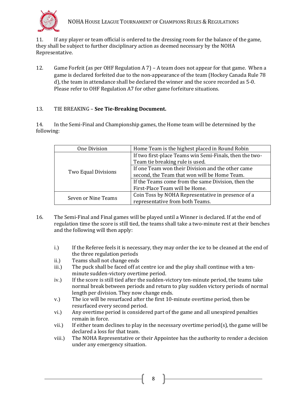

11. If any player or team official is ordered to the dressing room for the balance of the game, they shall be subject to further disciplinary action as deemed necessary by the NOHA Representative.

12. Game Forfeit (as per OHF Regulation A 7) – A team does not appear for that game. When a game is declared forfeited due to the non-appearance of the team (Hockey Canada Rule 78 d), the team in attendance shall be declared the winner and the score recorded as 5-0. Please refer to OHF Regulation A7 for other game forfeiture situations.

#### 13. TIE BREAKING – **See Tie-Breaking Document.**

14. In the Semi-Final and Championship games, the Home team will be determined by the following:

| One Division               | Home Team is the highest placed in Round Robin                                       |
|----------------------------|--------------------------------------------------------------------------------------|
| <b>Two Equal Divisions</b> | If two first-place Teams win Semi-Finals, then the two-                              |
|                            | Team tie breaking rule is used.<br>If one Team won their Division and the other came |
|                            |                                                                                      |
|                            | second, the Team that won will be Home Team.                                         |
|                            | If the Teams come from the same Division, then the                                   |
|                            | First-Place Team will be Home.                                                       |
| Seven or Nine Teams        | Coin Toss by NOHA Representative in presence of a                                    |
|                            | representative from both Teams.                                                      |

- 16. The Semi-Final and Final games will be played until a Winner is declared. If at the end of regulation time the score is still tied, the teams shall take a two-minute rest at their benches and the following will then apply:
	- i.) If the Referee feels it is necessary, they may order the ice to be cleaned at the end of the three regulation periods
	- ii.) Teams shall not change ends
	- iii.) The puck shall be faced off at centre ice and the play shall continue with a tenminute sudden-victory overtime period.
	- iv.) If the score is still tied after the sudden-victory ten-minute period, the teams take normal break between periods and return to play sudden victory periods of normal length per division. They now change ends.
	- v.) The ice will be resurfaced after the first 10-minute overtime period, then be resurfaced every second period.
	- vi.) Any overtime period is considered part of the game and all unexpired penalties remain in force.
	- vii.) If either team declines to play in the necessary overtime period(s), the game will be declared a loss for that team.
	- viii.) The NOHA Representative or their Appointee has the authority to render a decision under any emergency situation.

8